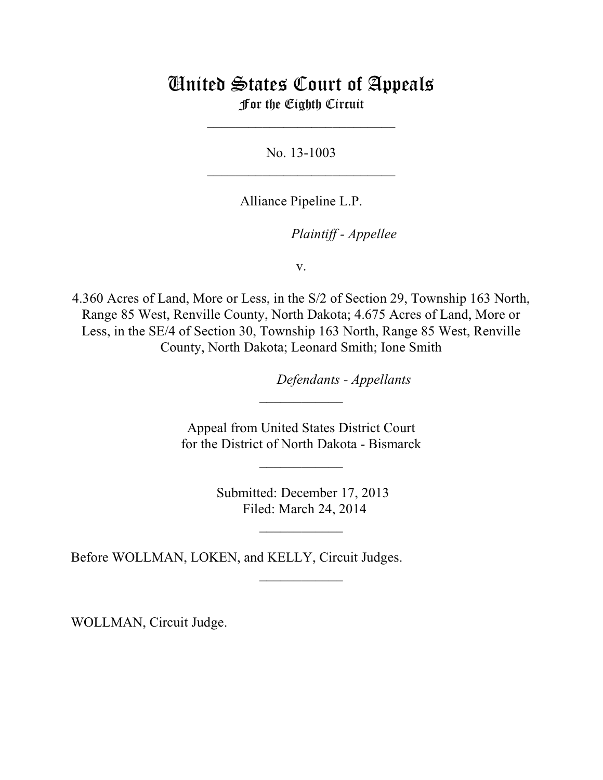# United States Court of Appeals For the Eighth Circuit

\_\_\_\_\_\_\_\_\_\_\_\_\_\_\_\_\_\_\_\_\_\_\_\_\_\_\_

No. 13-1003  $\mathcal{L}_\text{max}$  , which is a set of the set of the set of the set of the set of the set of the set of the set of the set of the set of the set of the set of the set of the set of the set of the set of the set of the set of

Alliance Pipeline L.P.

Plaintiff - Appellee

v.

4.360 Acres of Land, More or Less, in the S/2 of Section 29, Township 163 North, Range 85 West, Renville County, North Dakota; 4.675 Acres of Land, More or Less, in the SE/4 of Section 30, Township 163 North, Range 85 West, Renville County, North Dakota; Leonard Smith; Ione Smith

lllllllllllllllllllll *Defendants - Appellants*

 Appeal from United States District Court for the District of North Dakota - Bismarck

 $\frac{1}{2}$ 

 $\frac{1}{2}$ 

 Submitted: December 17, 2013 Filed: March 24, 2014

 $\overline{\phantom{a}}$  , where  $\overline{\phantom{a}}$ 

 $\frac{1}{2}$ 

Before WOLLMAN, LOKEN, and KELLY, Circuit Judges.

WOLLMAN, Circuit Judge.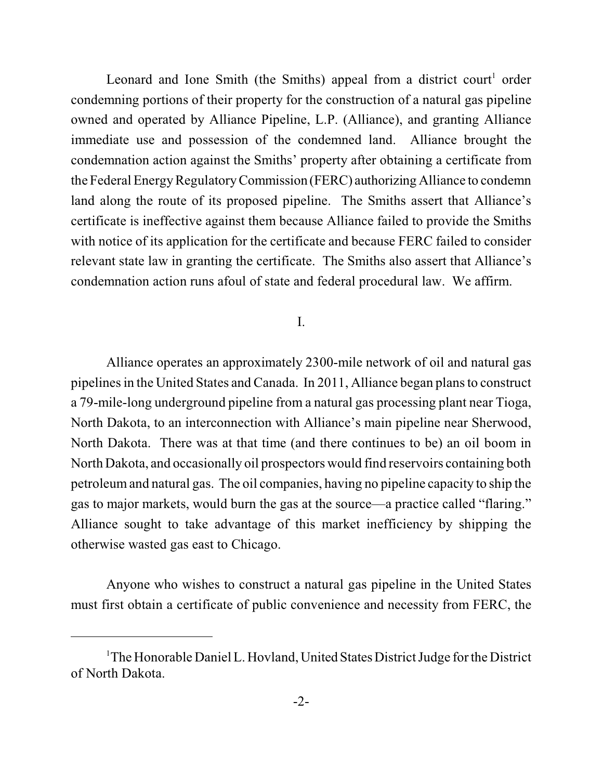Leonard and Ione Smith (the Smiths) appeal from a district court<sup>1</sup> order condemning portions of their property for the construction of a natural gas pipeline owned and operated by Alliance Pipeline, L.P. (Alliance), and granting Alliance immediate use and possession of the condemned land. Alliance brought the condemnation action against the Smiths' property after obtaining a certificate from the Federal EnergyRegulatoryCommission (FERC) authorizing Alliance to condemn land along the route of its proposed pipeline. The Smiths assert that Alliance's certificate is ineffective against them because Alliance failed to provide the Smiths with notice of its application for the certificate and because FERC failed to consider relevant state law in granting the certificate. The Smiths also assert that Alliance's condemnation action runs afoul of state and federal procedural law. We affirm.

# I.

Alliance operates an approximately 2300-mile network of oil and natural gas pipelines in the United States and Canada. In 2011, Alliance began plans to construct a 79-mile-long underground pipeline from a natural gas processing plant near Tioga, North Dakota, to an interconnection with Alliance's main pipeline near Sherwood, North Dakota. There was at that time (and there continues to be) an oil boom in North Dakota, and occasionally oil prospectors would find reservoirs containing both petroleumand natural gas. The oil companies, having no pipeline capacity to ship the gas to major markets, would burn the gas at the source—a practice called "flaring." Alliance sought to take advantage of this market inefficiency by shipping the otherwise wasted gas east to Chicago.

Anyone who wishes to construct a natural gas pipeline in the United States must first obtain a certificate of public convenience and necessity from FERC, the

<sup>&</sup>lt;sup>1</sup>The Honorable Daniel L. Hovland, United States District Judge for the District of North Dakota.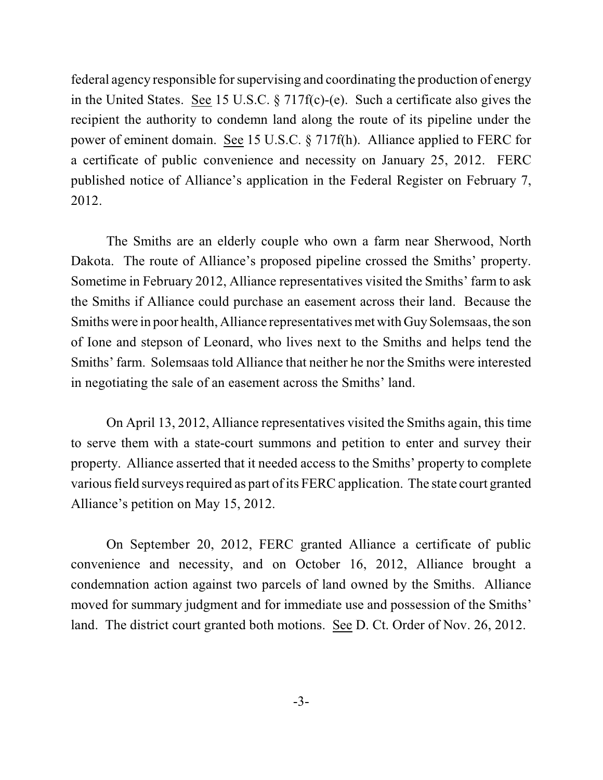federal agency responsible for supervising and coordinating the production of energy in the United States. See 15 U.S.C. § 717f(c)-(e). Such a certificate also gives the recipient the authority to condemn land along the route of its pipeline under the power of eminent domain. See 15 U.S.C. § 717f(h). Alliance applied to FERC for a certificate of public convenience and necessity on January 25, 2012. FERC published notice of Alliance's application in the Federal Register on February 7, 2012.

The Smiths are an elderly couple who own a farm near Sherwood, North Dakota. The route of Alliance's proposed pipeline crossed the Smiths' property. Sometime in February 2012, Alliance representatives visited the Smiths' farm to ask the Smiths if Alliance could purchase an easement across their land. Because the Smiths were in poor health, Alliance representatives met with Guy Solemsaas, the son of Ione and stepson of Leonard, who lives next to the Smiths and helps tend the Smiths' farm. Solemsaas told Alliance that neither he nor the Smiths were interested in negotiating the sale of an easement across the Smiths' land.

On April 13, 2012, Alliance representatives visited the Smiths again, this time to serve them with a state-court summons and petition to enter and survey their property. Alliance asserted that it needed access to the Smiths' property to complete various field surveys required as part of its FERC application. The state court granted Alliance's petition on May 15, 2012.

On September 20, 2012, FERC granted Alliance a certificate of public convenience and necessity, and on October 16, 2012, Alliance brought a condemnation action against two parcels of land owned by the Smiths. Alliance moved for summary judgment and for immediate use and possession of the Smiths' land. The district court granted both motions. See D. Ct. Order of Nov. 26, 2012.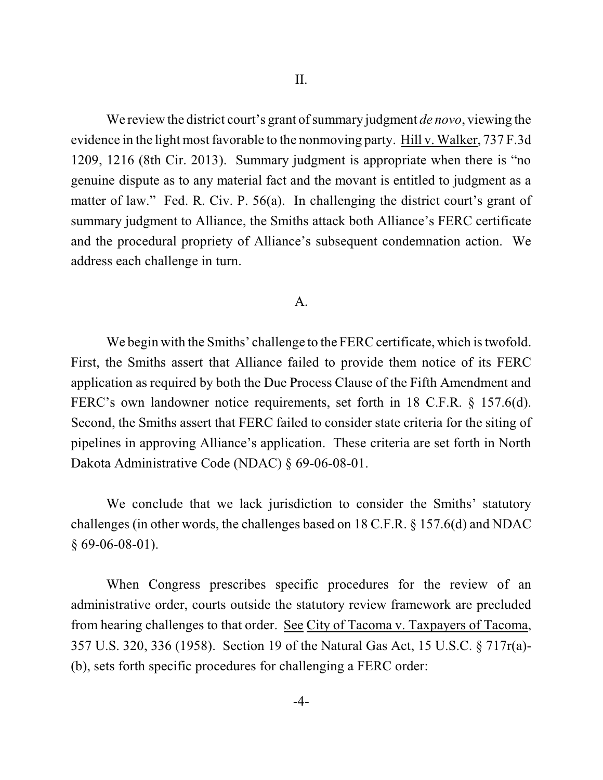We review the district court's grant of summary judgment *de novo*, viewing the evidence in the light most favorable to the nonmoving party. Hill v. Walker, 737 F.3d 1209, 1216 (8th Cir. 2013). Summary judgment is appropriate when there is "no genuine dispute as to any material fact and the movant is entitled to judgment as a matter of law." Fed. R. Civ. P. 56(a). In challenging the district court's grant of summary judgment to Alliance, the Smiths attack both Alliance's FERC certificate and the procedural propriety of Alliance's subsequent condemnation action. We address each challenge in turn.

### A.

We begin with the Smiths' challenge to the FERC certificate, which is twofold. First, the Smiths assert that Alliance failed to provide them notice of its FERC application as required by both the Due Process Clause of the Fifth Amendment and FERC's own landowner notice requirements, set forth in 18 C.F.R. § 157.6(d). Second, the Smiths assert that FERC failed to consider state criteria for the siting of pipelines in approving Alliance's application. These criteria are set forth in North Dakota Administrative Code (NDAC) § 69-06-08-01.

We conclude that we lack jurisdiction to consider the Smiths' statutory challenges (in other words, the challenges based on 18 C.F.R. § 157.6(d) and NDAC § 69-06-08-01).

When Congress prescribes specific procedures for the review of an administrative order, courts outside the statutory review framework are precluded from hearing challenges to that order. See City of Tacoma v. Taxpayers of Tacoma, 357 U.S. 320, 336 (1958). Section 19 of the Natural Gas Act, 15 U.S.C. § 717r(a)- (b), sets forth specific procedures for challenging a FERC order: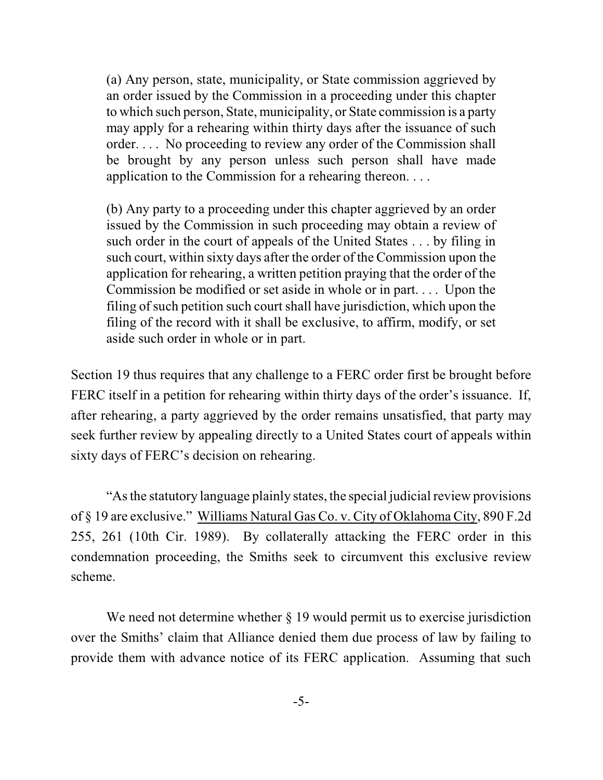(a) Any person, state, municipality, or State commission aggrieved by an order issued by the Commission in a proceeding under this chapter to which such person, State, municipality, or State commission is a party may apply for a rehearing within thirty days after the issuance of such order. . . . No proceeding to review any order of the Commission shall be brought by any person unless such person shall have made application to the Commission for a rehearing thereon. . . .

(b) Any party to a proceeding under this chapter aggrieved by an order issued by the Commission in such proceeding may obtain a review of such order in the court of appeals of the United States . . . by filing in such court, within sixty days after the order of the Commission upon the application for rehearing, a written petition praying that the order of the Commission be modified or set aside in whole or in part. . . . Upon the filing of such petition such court shall have jurisdiction, which upon the filing of the record with it shall be exclusive, to affirm, modify, or set aside such order in whole or in part.

Section 19 thus requires that any challenge to a FERC order first be brought before FERC itself in a petition for rehearing within thirty days of the order's issuance. If, after rehearing, a party aggrieved by the order remains unsatisfied, that party may seek further review by appealing directly to a United States court of appeals within sixty days of FERC's decision on rehearing.

"As the statutory language plainly states, the special judicial review provisions of § 19 are exclusive." Williams Natural Gas Co. v. City of Oklahoma City, 890 F.2d 255, 261 (10th Cir. 1989). By collaterally attacking the FERC order in this condemnation proceeding, the Smiths seek to circumvent this exclusive review scheme.

We need not determine whether  $\S$  19 would permit us to exercise jurisdiction over the Smiths' claim that Alliance denied them due process of law by failing to provide them with advance notice of its FERC application. Assuming that such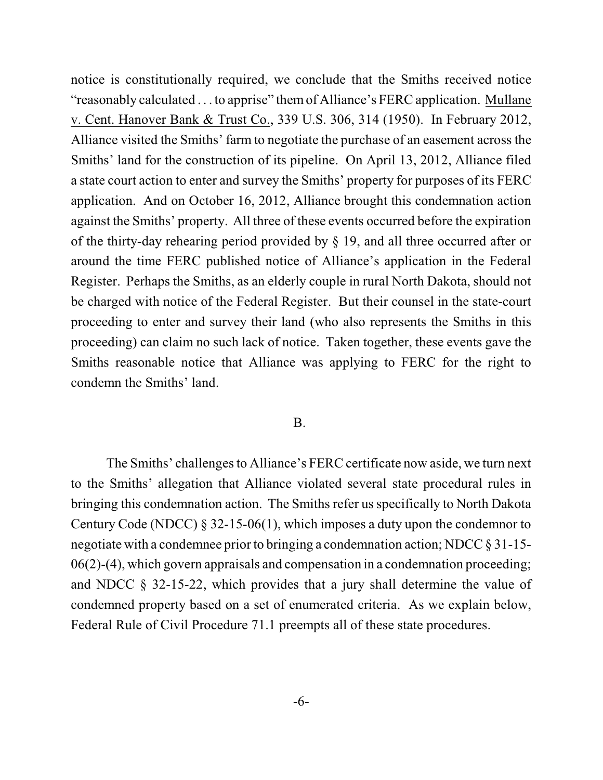notice is constitutionally required, we conclude that the Smiths received notice "reasonably calculated . . . to apprise" themof Alliance's FERC application. Mullane v. Cent. Hanover Bank & Trust Co., 339 U.S. 306, 314 (1950). In February 2012, Alliance visited the Smiths' farm to negotiate the purchase of an easement across the Smiths' land for the construction of its pipeline. On April 13, 2012, Alliance filed a state court action to enter and survey the Smiths' property for purposes of its FERC application. And on October 16, 2012, Alliance brought this condemnation action against the Smiths' property. All three of these events occurred before the expiration of the thirty-day rehearing period provided by § 19, and all three occurred after or around the time FERC published notice of Alliance's application in the Federal Register. Perhaps the Smiths, as an elderly couple in rural North Dakota, should not be charged with notice of the Federal Register. But their counsel in the state-court proceeding to enter and survey their land (who also represents the Smiths in this proceeding) can claim no such lack of notice. Taken together, these events gave the Smiths reasonable notice that Alliance was applying to FERC for the right to condemn the Smiths' land.

## B.

The Smiths' challenges to Alliance's FERC certificate now aside, we turn next to the Smiths' allegation that Alliance violated several state procedural rules in bringing this condemnation action. The Smiths refer us specifically to North Dakota Century Code (NDCC) § 32-15-06(1), which imposes a duty upon the condemnor to negotiate with a condemnee prior to bringing a condemnation action; NDCC § 31-15- 06(2)-(4), which govern appraisals and compensation in a condemnation proceeding; and NDCC § 32-15-22, which provides that a jury shall determine the value of condemned property based on a set of enumerated criteria. As we explain below, Federal Rule of Civil Procedure 71.1 preempts all of these state procedures.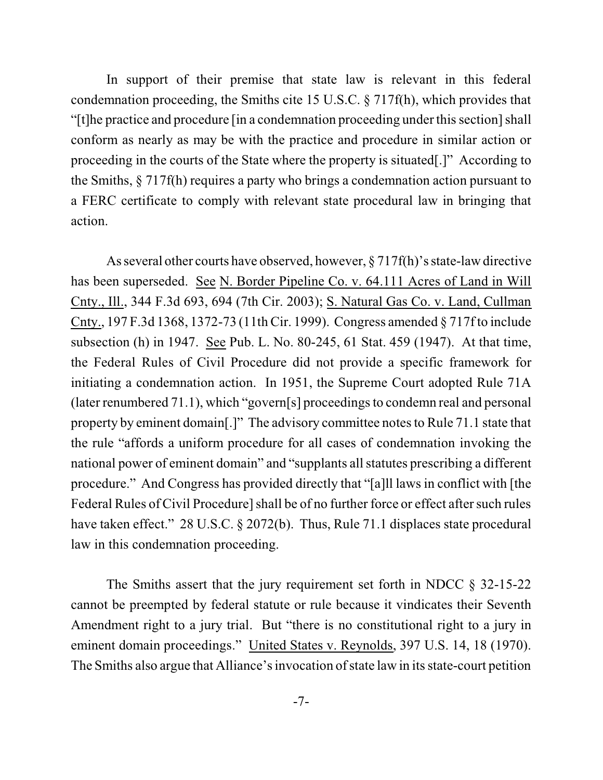In support of their premise that state law is relevant in this federal condemnation proceeding, the Smiths cite 15 U.S.C. § 717f(h), which provides that "[t]he practice and procedure [in a condemnation proceeding under thissection] shall conform as nearly as may be with the practice and procedure in similar action or proceeding in the courts of the State where the property is situated[.]" According to the Smiths, § 717f(h) requires a party who brings a condemnation action pursuant to a FERC certificate to comply with relevant state procedural law in bringing that action.

As several other courts have observed, however, § 717f(h)'s state-law directive has been superseded. See N. Border Pipeline Co. v. 64.111 Acres of Land in Will Cnty., Ill., 344 F.3d 693, 694 (7th Cir. 2003); S. Natural Gas Co. v. Land, Cullman Cnty., 197 F.3d 1368, 1372-73 (11th Cir. 1999). Congress amended § 717f to include subsection (h) in 1947. See Pub. L. No. 80-245, 61 Stat. 459 (1947). At that time, the Federal Rules of Civil Procedure did not provide a specific framework for initiating a condemnation action. In 1951, the Supreme Court adopted Rule 71A (later renumbered 71.1), which "govern[s] proceedingsto condemn real and personal property by eminent domain[.]" The advisory committee notes to Rule 71.1 state that the rule "affords a uniform procedure for all cases of condemnation invoking the national power of eminent domain" and "supplants all statutes prescribing a different procedure." And Congress has provided directly that "[a]ll laws in conflict with [the Federal Rules of Civil Procedure] shall be of no further force or effect after such rules have taken effect." 28 U.S.C. § 2072(b). Thus, Rule 71.1 displaces state procedural law in this condemnation proceeding.

The Smiths assert that the jury requirement set forth in NDCC § 32-15-22 cannot be preempted by federal statute or rule because it vindicates their Seventh Amendment right to a jury trial. But "there is no constitutional right to a jury in eminent domain proceedings." United States v. Reynolds, 397 U.S. 14, 18 (1970). The Smiths also argue that Alliance's invocation of state law in its state-court petition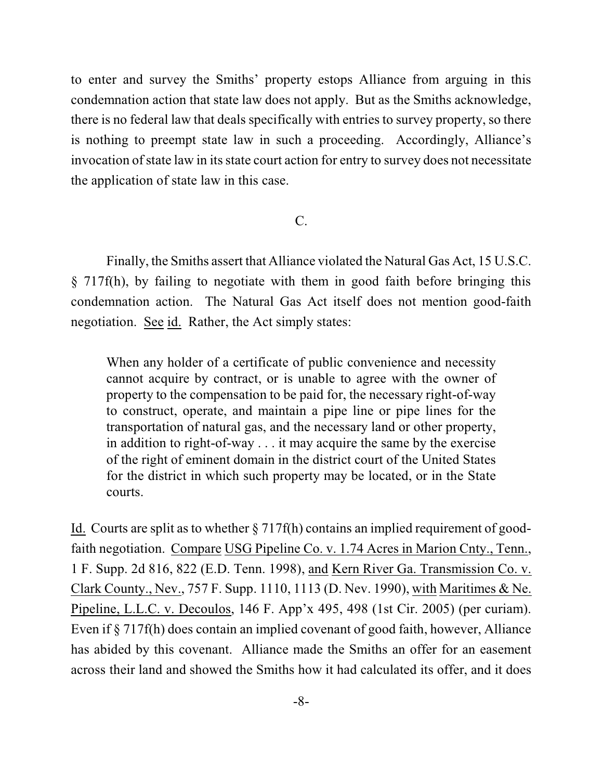to enter and survey the Smiths' property estops Alliance from arguing in this condemnation action that state law does not apply. But as the Smiths acknowledge, there is no federal law that deals specifically with entries to survey property, so there is nothing to preempt state law in such a proceeding. Accordingly, Alliance's invocation of state law in its state court action for entry to survey does not necessitate the application of state law in this case.

# C.

Finally, the Smiths assert that Alliance violated the Natural Gas Act, 15 U.S.C. § 717f(h), by failing to negotiate with them in good faith before bringing this condemnation action. The Natural Gas Act itself does not mention good-faith negotiation. See id. Rather, the Act simply states:

When any holder of a certificate of public convenience and necessity cannot acquire by contract, or is unable to agree with the owner of property to the compensation to be paid for, the necessary right-of-way to construct, operate, and maintain a pipe line or pipe lines for the transportation of natural gas, and the necessary land or other property, in addition to right-of-way . . . it may acquire the same by the exercise of the right of eminent domain in the district court of the United States for the district in which such property may be located, or in the State courts.

Id. Courts are split as to whether § 717f(h) contains an implied requirement of goodfaith negotiation. Compare USG Pipeline Co. v. 1.74 Acres in Marion Cnty., Tenn., 1 F. Supp. 2d 816, 822 (E.D. Tenn. 1998), and Kern River Ga. Transmission Co. v. Clark County., Nev., 757 F. Supp. 1110, 1113 (D. Nev. 1990), with Maritimes & Ne. Pipeline, L.L.C. v. Decoulos, 146 F. App'x 495, 498 (1st Cir. 2005) (per curiam). Even if § 717f(h) does contain an implied covenant of good faith, however, Alliance has abided by this covenant. Alliance made the Smiths an offer for an easement across their land and showed the Smiths how it had calculated its offer, and it does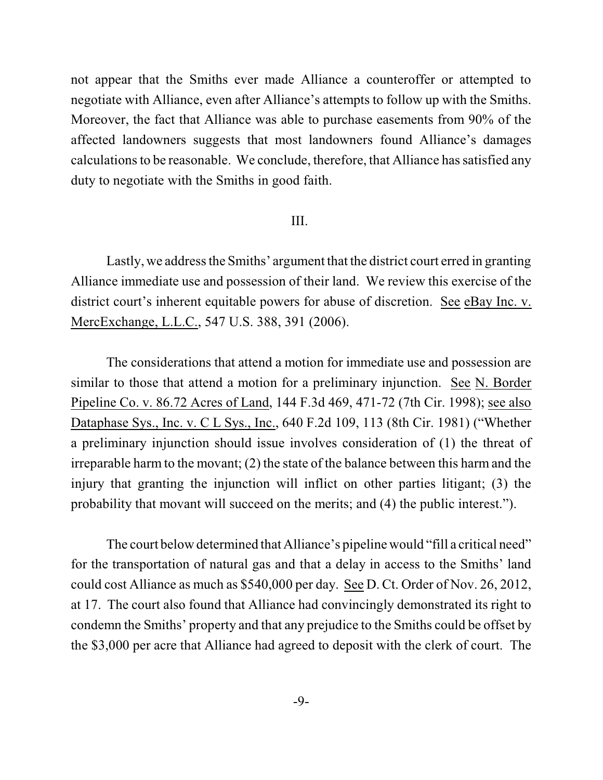not appear that the Smiths ever made Alliance a counteroffer or attempted to negotiate with Alliance, even after Alliance's attempts to follow up with the Smiths. Moreover, the fact that Alliance was able to purchase easements from 90% of the affected landowners suggests that most landowners found Alliance's damages calculations to be reasonable. We conclude, therefore, that Alliance has satisfied any duty to negotiate with the Smiths in good faith.

#### III.

Lastly, we address the Smiths' argument that the district court erred in granting Alliance immediate use and possession of their land. We review this exercise of the district court's inherent equitable powers for abuse of discretion. See eBay Inc. v. MercExchange, L.L.C., 547 U.S. 388, 391 (2006).

The considerations that attend a motion for immediate use and possession are similar to those that attend a motion for a preliminary injunction. See N. Border Pipeline Co. v. 86.72 Acres of Land, 144 F.3d 469, 471-72 (7th Cir. 1998); see also Dataphase Sys., Inc. v. C L Sys., Inc., 640 F.2d 109, 113 (8th Cir. 1981) ("Whether a preliminary injunction should issue involves consideration of (1) the threat of irreparable harm to the movant; (2) the state of the balance between this harm and the injury that granting the injunction will inflict on other parties litigant; (3) the probability that movant will succeed on the merits; and (4) the public interest.").

The court below determined that Alliance's pipeline would "fill a critical need" for the transportation of natural gas and that a delay in access to the Smiths' land could cost Alliance as much as \$540,000 per day. See D. Ct. Order of Nov. 26, 2012, at 17. The court also found that Alliance had convincingly demonstrated its right to condemn the Smiths' property and that any prejudice to the Smiths could be offset by the \$3,000 per acre that Alliance had agreed to deposit with the clerk of court. The